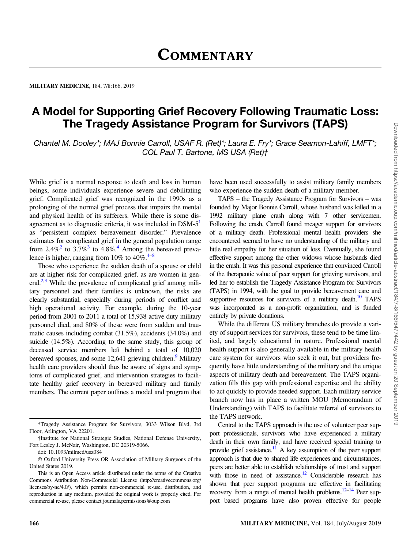### MILITARY MEDICINE, 184, 7/8:166, 2019

# A Model for Supporting Grief Recovery Following Traumatic Loss: The Tragedy Assistance Program for Survivors (TAPS)

Chantel M. Dooley\*; MAJ Bonnie Carroll, USAF R. (Ret)\*; Laura E. Fry\*; Grace Seamon-Lahiff, LMFT\*; COL Paul T. Bartone, MS USA (Ret)†

While grief is a normal response to death and loss in human beings, some individuals experience severe and debilitating grief. Complicated grief was recognized in the 1990s as a prolonging of the normal grief process that impairs the mental and physical health of its sufferers. While there is some disagreement as to diagnostic criteria, it was included in  $DSM-5<sup>1</sup>$ as "persistent complex bereavement disorder." Prevalence estimates for complicated grief in the general population range from 2.4%<sup>2</sup> to [3](#page-3-0).7%<sup>3</sup> to [4](#page-3-0).8%<sup>4</sup>. Among the bereaved prevalence is higher, ranging from 10% to  $40\%$  $40\%$ .<sup>4–[8](#page-4-0)</sup>

Those who experience the sudden death of a spouse or child are at higher risk for complicated grief, as are women in general. $^{2,3}$  While the prevalence of complicated grief among military personnel and their families is unknown, the risks are clearly substantial, especially during periods of conflict and high operational activity. For example, during the 10-year period from 2001 to 2011 a total of 15,938 active duty military personnel died, and 80% of these were from sudden and traumatic causes including combat (31.5%), accidents (34.0%) and suicide (14.5%). According to the same study, this group of deceased service members left behind a total of 10,020 bereaved spouses, and some  $12,641$  grieving children.<sup>[9](#page-4-0)</sup> Military health care providers should thus be aware of signs and symptoms of complicated grief, and intervention strategies to facilitate healthy grief recovery in bereaved military and family members. The current paper outlines a model and program that have been used successfully to assist military family members who experience the sudden death of a military member.

TAPS – the Tragedy Assistance Program for Survivors – was founded by Major Bonnie Carroll, whose husband was killed in a 1992 military plane crash along with 7 other servicemen. Following the crash, Carroll found meager support for survivors of a military death. Professional mental health providers she encountered seemed to have no understanding of the military and little real empathy for her situation of loss. Eventually, she found effective support among the other widows whose husbands died in the crash. It was this personal experience that convinced Carroll of the therapeutic value of peer support for grieving survivors, and led her to establish the Tragedy Assistance Program for Survivors (TAPS) in 1994, with the goal to provide bereavement care and supportive resources for survivors of a military death.<sup>10</sup> TAPS was incorporated as a non-profit organization, and is funded entirely by private donations.

While the different US military branches do provide a variety of support services for survivors, these tend to be time limited, and largely educational in nature. Professional mental health support is also generally available in the military health care system for survivors who seek it out, but providers frequently have little understanding of the military and the unique aspects of military death and bereavement. The TAPS organization fills this gap with professional expertise and the ability to act quickly to provide needed support. Each military service branch now has in place a written MOU (Memorandum of Understanding) with TAPS to facilitate referral of survivors to the TAPS network.

Central to the TAPS approach is the use of volunteer peer support professionals, survivors who have experienced a military death in their own family, and have received special training to provide grief assistance.<sup>11</sup> A key assumption of the peer support approach is that due to shared life experiences and circumstances, peers are better able to establish relationships of trust and support with those in need of assistance.<sup>12</sup> Considerable research has shown that peer support programs are effective in facilitating recovery from a range of mental health problems.<sup>12–[14](#page-4-0)</sup> Peer support based programs have also proven effective for people

<sup>\*</sup>Tragedy Assistance Program for Survivors, 3033 Wilson Blvd, 3rd Floor, Arlington, VA 22201.

<sup>†</sup>Institute for National Strategic Studies, National Defense University, Fort Lesley J. McNair, Washington, DC 20319-5066.

doi: 10.1093/milmed/usz084

<sup>©</sup> Oxford University Press OR Association of Military Surgeons of the United States 2019.

This is an Open Access article distributed under the terms of the Creative Commons Attribution Non-Commercial License [\(http://creativecommons.org/](http://creativecommons.org/licenses/by-nc/4.0/) [licenses/by-nc/4.0/](http://creativecommons.org/licenses/by-nc/4.0/)), which permits non-commercial re-use, distribution, and reproduction in any medium, provided the original work is properly cited. For commercial re-use, please contact journals.permissions@oup.com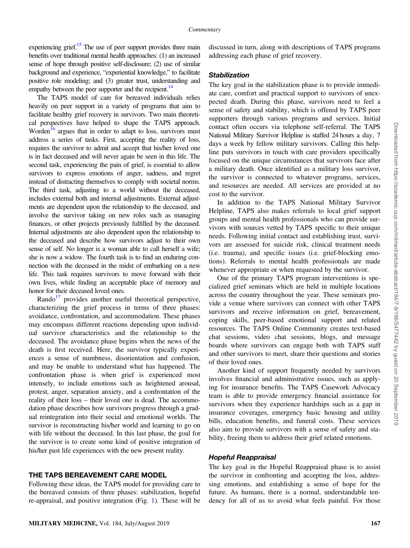experiencing grief.<sup>15</sup> The use of peer support provides three main benefits over traditional mental health approaches: (1) an increased sense of hope through positive self-disclosure; (2) use of similar background and experience, "experiential knowledge," to facilitate positive role modeling; and (3) greater trust, understanding and empathy between the peer supporter and the recipient.<sup>14</sup>

The TAPS model of care for bereaved individuals relies heavily on peer support in a variety of programs that aim to facilitate healthy grief recovery in survivors. Two main theoretical perspectives have helped to shape the TAPS approach. Worden<sup>16</sup> argues that in order to adapt to loss, survivors must address a series of tasks. First, accepting the reality of loss, requires the survivor to admit and accept that his/her loved one is in fact deceased and will never again be seen in this life. The second task, experiencing the pain of grief, is essential to allow survivors to express emotions of anger, sadness, and regret instead of distracting themselves to comply with societal norms. The third task, adjusting to a world without the deceased, includes external both and internal adjustments. External adjustments are dependent upon the relationship to the deceased, and involve the survivor taking on new roles such as managing finances, or other projects previously fulfilled by the deceased. Internal adjustments are also dependent upon the relationship to the deceased and describe how survivors adjust to their own sense of self. No longer is a woman able to call herself a wife; she is now a widow. The fourth task is to find an enduring connection with the deceased in the midst of embarking on a new life. This task requires survivors to move forward with their own lives, while finding an acceptable place of memory and honor for their deceased loved ones.

Rando $17$  provides another useful theoretical perspective, characterizing the grief process in terms of three phases: avoidance, confrontation, and accommodation. These phases may encompass different reactions depending upon individual survivor characteristics and the relationship to the deceased. The avoidance phase begins when the news of the death is first received. Here, the survivor typically experiences a sense of numbness, disorientation and confusion, and may be unable to understand what has happened. The confrontation phase is when grief is experienced most intensely, to include emotions such as heightened arousal, protest, anger, separation anxiety, and a confrontation of the reality of their loss – their loved one is dead. The accommodation phase describes how survivors progress through a gradual reintegration into their social and emotional worlds. The survivor is reconstructing his/her world and learning to go on with life without the deceased. In this last phase, the goal for the survivor is to create some kind of positive integration of his/her past life experiences with the new present reality.

## THE TAPS BEREAVEMENT CARE MODEL

Following these ideas, the TAPS model for providing care to the bereaved consists of three phases: stabilization, hopeful re-appraisal, and positive integration (Fig. [1\)](#page-2-0). These will be discussed in turn, along with descriptions of TAPS programs addressing each phase of grief recovery.

### **Stabilization**

The key goal in the stabilization phase is to provide immediate care, comfort and practical support to survivors of unexpected death. During this phase, survivors need to feel a sense of safety and stability, which is offered by TAPS peer supporters through various programs and services. Initial contact often occurs via telephone self-referral. The TAPS National Military Survivor Helpline is staffed 24 hours a day, 7 days a week by fellow military survivors. Calling this helpline puts survivors in touch with care providers specifically focused on the unique circumstances that survivors face after a military death. Once identified as a military loss survivor, the survivor is connected to whatever programs, services, and resources are needed. All services are provided at no cost to the survivor.

In addition to the TAPS National Military Survivor Helpline, TAPS also makes referrals to local grief support groups and mental health professionals who can provide survivors with sources vetted by TAPS specific to their unique needs. Following initial contact and establishing trust, survivors are assessed for suicide risk, clinical treatment needs (i.e. trauma), and specific issues (i.e. grief-blocking emotions). Referrals to mental health professionals are made whenever appropriate or when requested by the survivor.

One of the primary TAPS program interventions is specialized grief seminars which are held in multiple locations across the country throughout the year. These seminars provide a venue where survivors can connect with other TAPS survivors and receive information on grief, bereavement, coping skills, peer-based emotional support and related resources. The TAPS Online Community creates text-based chat sessions, video chat sessions, blogs, and message boards where survivors can engage both with TAPS staff and other survivors to meet, share their questions and stories of their loved ones.

Another kind of support frequently needed by survivors involves financial and administrative issues, such as applying for insurance benefits. The TAPS Casework Advocacy team is able to provide emergency financial assistance for survivors when they experience hardships such as a gap in insurance coverages, emergency basic housing and utility bills, education benefits, and funeral costs. These services also aim to provide survivors with a sense of safety and stability, freeing them to address their grief related emotions.

The key goal in the Hopeful Reappraisal phase is to assist the survivor in confronting and accepting the loss, addressing emotions, and establishing a sense of hope for the future. As humans, there is a normal, understandable tendency for all of us to avoid what feels painful. For those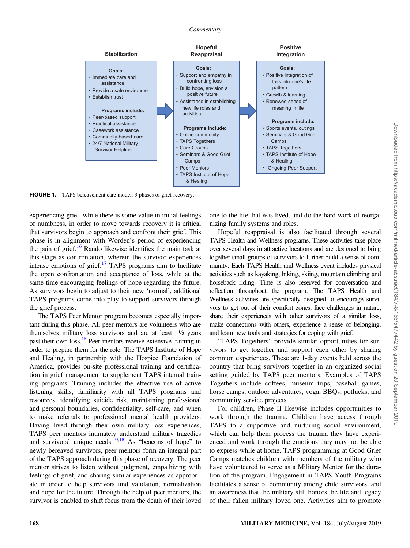<span id="page-2-0"></span>

FIGURE 1. TAPS bereavement care model: 3 phases of grief recovery.

experiencing grief, while there is some value in initial feelings of numbness, in order to move towards recovery it is critical that survivors begin to approach and confront their grief. This phase is in alignment with Worden's period of experiencing the pain of grief.<sup>16</sup> Rando likewise identifies the main task at this stage as confrontation, wherein the survivor experiences intense emotions of grief. $17$  TAPS programs aim to facilitate the open confrontation and acceptance of loss, while at the same time encouraging feelings of hope regarding the future. As survivors begin to adjust to their new 'normal', additional TAPS programs come into play to support survivors through the grief process.

The TAPS Peer Mentor program becomes especially important during this phase. All peer mentors are volunteers who are themselves military loss survivors and are at least 1½ years past their own loss[.18](#page-4-0) Peer mentors receive extensive training in order to prepare them for the role. The TAPS Institute of Hope and Healing, in partnership with the Hospice Foundation of America, provides on-site professional training and certification in grief management to supplement TAPS internal training programs. Training includes the effective use of active listening skills, familiarity with all TAPS programs and resources, identifying suicide risk, maintaining professional and personal boundaries, confidentiality, self-care, and when to make referrals to professional mental health providers. Having lived through their own military loss experiences, TAPS peer mentors intimately understand military tragedies and survivors' unique needs. $\frac{10,18}{10,18}$  As "beacons of hope" to newly bereaved survivors, peer mentors form an integral part of the TAPS approach during this phase of recovery. The peer mentor strives to listen without judgment, empathizing with feelings of grief, and sharing similar experiences as appropriate in order to help survivors find validation, normalization and hope for the future. Through the help of peer mentors, the survivor is enabled to shift focus from the death of their loved one to the life that was lived, and do the hard work of reorganizing family systems and roles.

Hopeful reappraisal is also facilitated through several TAPS Health and Wellness programs. These activities take place over several days in attractive locations and are designed to bring together small groups of survivors to further build a sense of community. Each TAPS Health and Wellness event includes physical activities such as kayaking, hiking, skiing, mountain climbing and horseback riding. Time is also reserved for conversation and reflection throughout the program. The TAPS Health and Wellness activities are specifically designed to encourage survivors to get out of their comfort zones, face challenges in nature, share their experiences with other survivors of a similar loss, make connections with others, experience a sense of belonging, and learn new tools and strategies for coping with grief.

"TAPS Togethers" provide similar opportunities for survivors to get together and support each other by sharing common experiences. These are 1-day events held across the country that bring survivors together in an organized social setting guided by TAPS peer mentors. Examples of TAPS Togethers include coffees, museum trips, baseball games, horse camps, outdoor adventures, yoga, BBQs, potlucks, and community service projects.

For children, Phase II likewise includes opportunities to work through the trauma. Children have access through TAPS to a supportive and nurturing social environment, which can help them process the trauma they have experienced and work through the emotions they may not be able to express while at home. TAPS programming at Good Grief Camps matches children with members of the military who have volunteered to serve as a Military Mentor for the duration of the program. Engagement in TAPS Youth Programs facilitates a sense of community among child survivors, and an awareness that the military still honors the life and legacy of their fallen military loved one. Activities aim to promote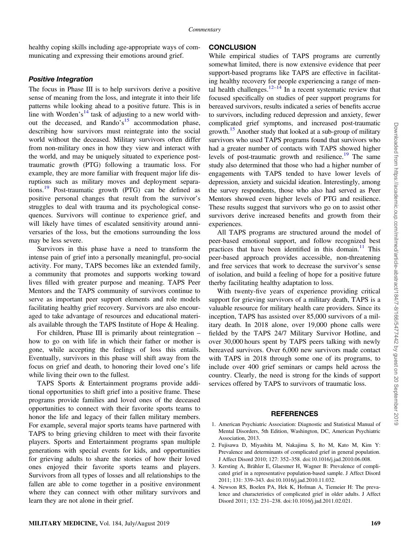<span id="page-3-0"></span>healthy coping skills including age-appropriate ways of communicating and expressing their emotions around grief.

The focus in Phase III is to help survivors derive a positive sense of meaning from the loss, and integrate it into their life patterns while looking ahead to a positive future. This is in line with Worden's<sup>[14](#page-4-0)</sup> task of adjusting to a new world with-out the deceased, and Rando's<sup>[15](#page-4-0)</sup> accommodation phase, describing how survivors must reintegrate into the social world without the deceased. Military survivors often differ from non-military ones in how they view and interact with the world, and may be uniquely situated to experience posttraumatic growth (PTG) following a traumatic loss. For example, they are more familiar with frequent major life disruptions such as military moves and deployment separations.[19](#page-4-0) Post-traumatic growth (PTG) can be defined as positive personal changes that result from the survivor's struggles to deal with trauma and its psychological consequences. Survivors will continue to experience grief, and will likely have times of escalated sensitivity around anniversaries of the loss, but the emotions surrounding the loss may be less severe.

Survivors in this phase have a need to transform the intense pain of grief into a personally meaningful, pro-social activity. For many, TAPS becomes like an extended family, a community that promotes and supports working toward lives filled with greater purpose and meaning. TAPS Peer Mentors and the TAPS community of survivors continue to serve as important peer support elements and role models facilitating healthy grief recovery. Survivors are also encouraged to take advantage of resources and educational materials available through the TAPS Institute of Hope & Healing.

For children, Phase III is primarily about reintegration – how to go on with life in which their father or mother is gone, while accepting the feelings of loss this entails. Eventually, survivors in this phase will shift away from the focus on grief and death, to honoring their loved one's life while living their own to the fullest.

TAPS Sports & Entertainment programs provide additional opportunities to shift grief into a positive frame. These programs provide families and loved ones of the deceased opportunities to connect with their favorite sports teams to honor the life and legacy of their fallen military members. For example, several major sports teams have partnered with TAPS to bring grieving children to meet with their favorite players. Sports and Entertainment programs span multiple generations with special events for kids, and opportunities for grieving adults to share the stories of how their loved ones enjoyed their favorite sports teams and players. Survivors from all types of losses and all relationships to the fallen are able to come together in a positive environment where they can connect with other military survivors and learn they are not alone in their grief.

While empirical studies of TAPS programs are currently somewhat limited, there is now extensive evidence that peer support-based programs like TAPS are effective in facilitating healthy recovery for people experiencing a range of men-tal health challenges.<sup>[12](#page-4-0)–[14](#page-4-0)</sup> In a recent systematic review that focused specifically on studies of peer support programs for bereaved survivors, results indicated a series of benefits accrue to survivors, including reduced depression and anxiety, fewer complicated grief symptoms, and increased post-traumatic growth.<sup>15</sup> Another study that looked at a sub-group of military survivors who used TAPS programs found that survivors who had a greater number of contacts with TAPS showed higher levels of post-traumatic growth and resilience.<sup>19</sup> The same study also determined that those who had a higher number of engagements with TAPS tended to have lower levels of depression, anxiety and suicidal ideation. Interestingly, among the survey respondents, those who also had served as Peer Mentors showed even higher levels of PTG and resilience. These results suggest that survivors who go on to assist other survivors derive increased benefits and growth from their experiences.

All TAPS programs are structured around the model of peer-based emotional support, and follow recognized best practices that have been identified in this domain.<sup>[11](#page-4-0)</sup> This peer-based approach provides accessible, non-threatening and free services that work to decrease the survivor's sense of isolation, and build a feeling of hope for a positive future therby facilitating healthy adaptation to loss.

With twenty-five years of experience providing critical support for grieving survivors of a military death, TAPS is a valuable resource for military health care providers. Since its inception, TAPS has assisted over 85,000 survivors of a military death. In 2018 alone, over 19,000 phone calls were fielded by the TAPS 24/7 Military Survivor Hotline, and over 30,000 hours spent by TAPS peers talking with newly bereaved survivors. Over 6,000 new survivors made contact with TAPS in 2018 through some one of its programs, to include over 400 grief seminars or camps held across the country. Clearly, the need is strong for the kinds of support services offered by TAPS to survivors of traumatic loss.

# **REFERENCES**

- 1. American Psychiatric Association: Diagnostic and Statistical Manual of Mental Disorders, 5th Edition, Washington, DC, American Psychiatric Association, 2013.
- 2. Fujisawa D, Miyashita M, Nakajima S, Ito M, Kato M, Kim Y: Prevalence and determinants of complicated grief in general population. J Affect Disord 2010; 127: 352–358. [doi:10.1016/j.jad.2010.06.008](http://dx.doi.org/10.1016/j.jad.2010.06.008).
- 3. Kersting A, Brähler E, Glaesmer H, Wagner B: Prevalence of complicated grief in a representative population-based sample. J Affect Disord 2011; 131: 339–343. [doi:10.1016/j.jad.2010.11.032.](http://dx.doi.org/10.1016/j.jad.2010.11.032)
- 4. Newson RS, Boelen PA, Hek K, Hofman A, Tiemeier H: The prevalence and characteristics of complicated grief in older adults. J Affect Disord 2011; 132: 231–238. [doi:10.1016/j.jad.2011.02.021.](http://dx.doi.org/10.1016/j.jad.2011.02.021)